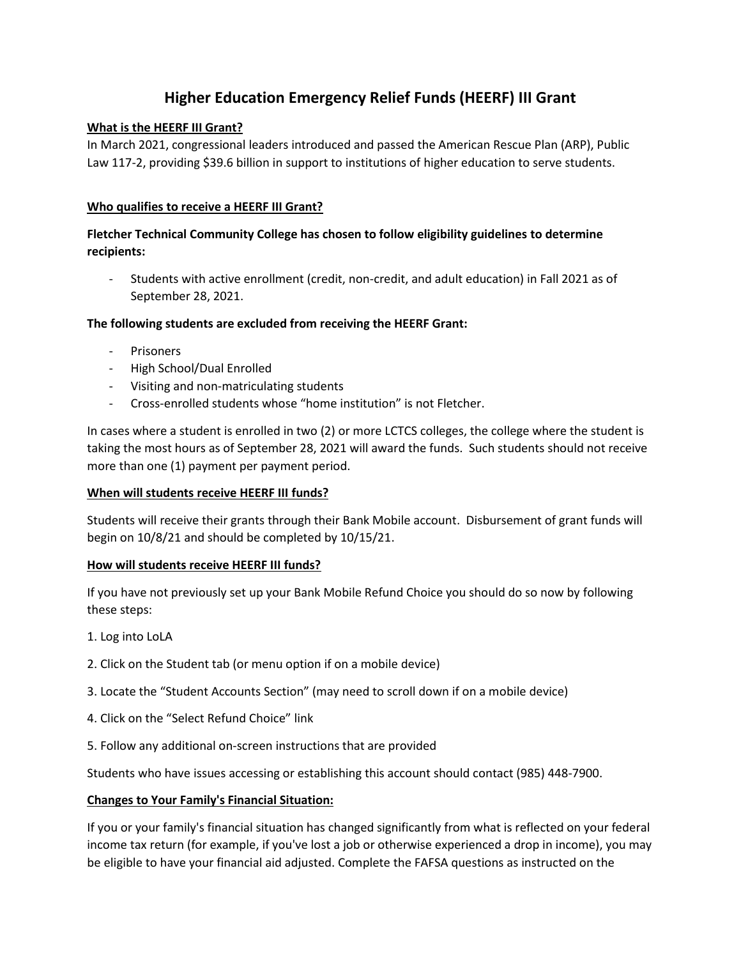# **Higher Education Emergency Relief Funds (HEERF) III Grant**

# **What is the HEERF III Grant?**

In March 2021, congressional leaders introduced and passed the American Rescue Plan (ARP), Public Law 117-2, providing \$39.6 billion in support to institutions of higher education to serve students.

#### **Who qualifies to receive a HEERF III Grant?**

# **Fletcher Technical Community College has chosen to follow eligibility guidelines to determine recipients:**

Students with active enrollment (credit, non-credit, and adult education) in Fall 2021 as of September 28, 2021.

# **The following students are excluded from receiving the HEERF Grant:**

- Prisoners
- High School/Dual Enrolled
- Visiting and non-matriculating students
- Cross-enrolled students whose "home institution" is not Fletcher.

In cases where a student is enrolled in two (2) or more LCTCS colleges, the college where the student is taking the most hours as of September 28, 2021 will award the funds. Such students should not receive more than one (1) payment per payment period.

#### **When will students receive HEERF III funds?**

Students will receive their grants through their Bank Mobile account. Disbursement of grant funds will begin on 10/8/21 and should be completed by 10/15/21.

#### **How will students receive HEERF III funds?**

If you have not previously set up your Bank Mobile Refund Choice you should do so now by following these steps:

- 1. Log into LoLA
- 2. Click on the Student tab (or menu option if on a mobile device)
- 3. Locate the "Student Accounts Section" (may need to scroll down if on a mobile device)
- 4. Click on the "Select Refund Choice" link
- 5. Follow any additional on-screen instructions that are provided

Students who have issues accessing or establishing this account should contact (985) 448-7900.

#### **Changes to Your Family's Financial Situation:**

If you or your family's financial situation has changed significantly from what is reflected on your federal income tax return (for example, if you've lost a job or otherwise experienced a drop in income), you may be eligible to have your financial aid adjusted. Complete the FAFSA questions as instructed on the